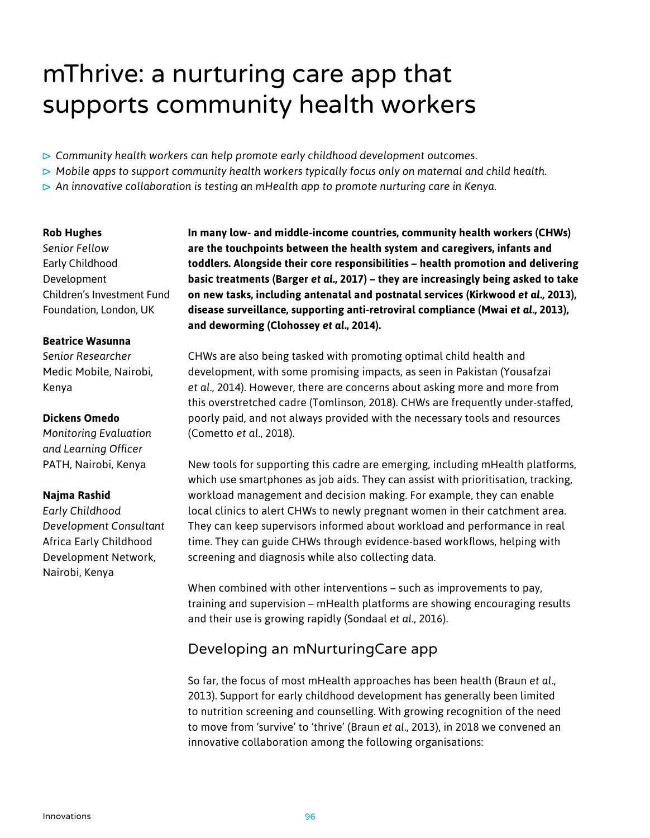# mThrive: a nurturing care app that supports community health workers

- *Community health workers can help promote early childhood development outcomes.*
- *Mobile apps to support community health workers typically focus only on maternal and child health.*
- *An innovative collaboration is testing an mHealth app to promote nurturing care in Kenya.*

### **Rob Hughes**

*Senior Fellow* Early Childhood Development Children's Investment Fund Foundation, London, UK

### **Beatrice Wasunna**

*Senior Researcher* Medic Mobile, Nairobi, Kenya

### **Dickens Omedo**

*Monitoring Evaluation and Learning Officer* PATH, Nairobi, Kenya

### **Najma Rashid**

*Early Childhood Development Consultant* Africa Early Childhood Development Network, Nairobi, Kenya

**In many low- and middle-income countries, community health workers (CHWs) are the touchpoints between the health system and caregivers, infants and toddlers. Alongside their core responsibilities – health promotion and delivering basic treatments (Barger** *et al.***, 2017) – they are increasingly being asked to take on new tasks, including antenatal and postnatal services (Kirkwood** *et al.***, 2013), disease surveillance, supporting anti-retroviral compliance (Mwai** *et al.***, 2013), and deworming (Clohossey** *et al.***, 2014).**

CHWs are also being tasked with promoting optimal child health and development, with some promising impacts, as seen in Pakistan (Yousafzai *et al.*, 2014). However, there are concerns about asking more and more from this overstretched cadre (Tomlinson, 2018). CHWs are frequently under-staffed, poorly paid, and not always provided with the necessary tools and resources (Cometto *et al.*, 2018).

New tools for supporting this cadre are emerging, including mHealth platforms, which use smartphones as job aids. They can assist with prioritisation, tracking, workload management and decision making. For example, they can enable local clinics to alert CHWs to newly pregnant women in their catchment area. They can keep supervisors informed about workload and performance in real time. They can guide CHWs through evidence-based workflows, helping with screening and diagnosis while also collecting data.

When combined with other interventions – such as improvements to pay, training and supervision – mHealth platforms are showing encouraging results and their use is growing rapidly (Sondaal *et al.*, 2016).

## Developing an mNurturingCare app

So far, the focus of most mHealth approaches has been health (Braun *et al.*, 2013). Support for early childhood development has generally been limited to nutrition screening and counselling. With growing recognition of the need to move from 'survive' to 'thrive' (Braun *et al.*, 2013), in 2018 we convened an innovative collaboration among the following organisations: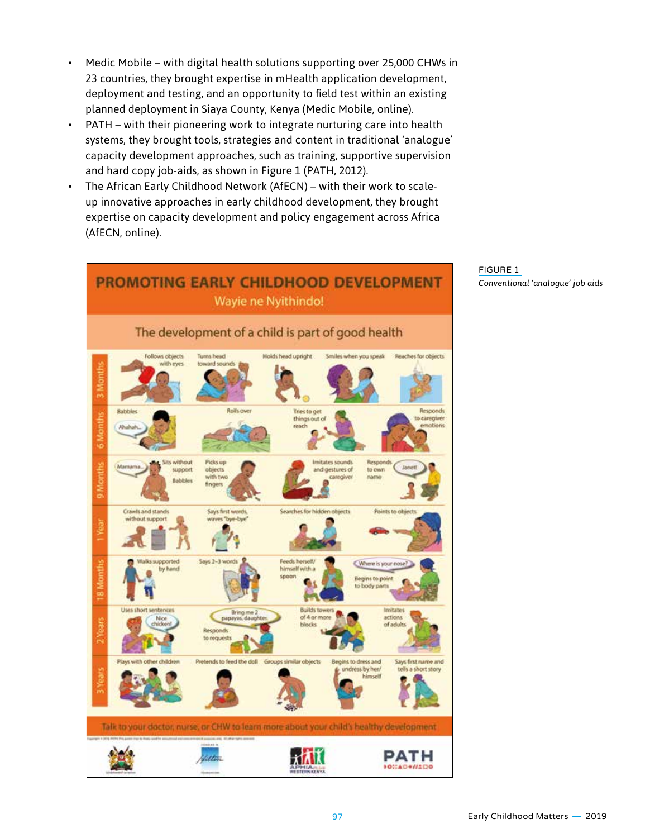- Medic Mobile with digital health solutions supporting over 25,000 CHWs in 23 countries, they brought expertise in mHealth application development, deployment and testing, and an opportunity to field test within an existing planned deployment in Siaya County, Kenya (Medic Mobile, online).
- PATH with their pioneering work to integrate nurturing care into health systems, they brought tools, strategies and content in traditional 'analogue' capacity development approaches, such as training, supportive supervision and hard copy job-aids, as shown in Figure 1 (PATH, 2012).
- The African Early Childhood Network (AfECN) with their work to scaleup innovative approaches in early childhood development, they brought expertise on capacity development and policy engagement across Africa (AfECN, online).



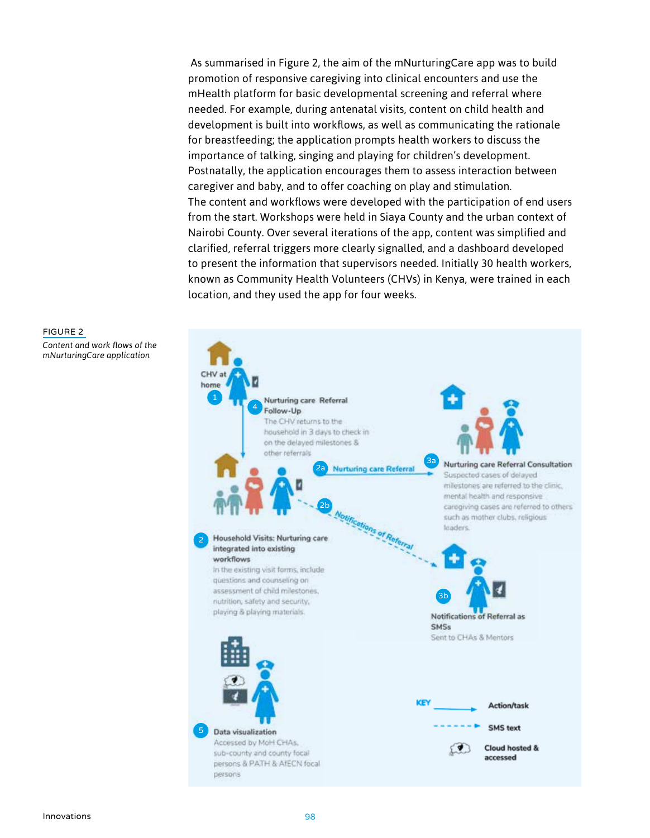As summarised in Figure 2, the aim of the mNurturingCare app was to build promotion of responsive caregiving into clinical encounters and use the mHealth platform for basic developmental screening and referral where needed. For example, during antenatal visits, content on child health and development is built into workflows, as well as communicating the rationale for breastfeeding; the application prompts health workers to discuss the importance of talking, singing and playing for children's development. Postnatally, the application encourages them to assess interaction between caregiver and baby, and to offer coaching on play and stimulation. The content and workflows were developed with the participation of end users from the start. Workshops were held in Siaya County and the urban context of Nairobi County. Over several iterations of the app, content was simplified and clarified, referral triggers more clearly signalled, and a dashboard developed to present the information that supervisors needed. Initially 30 health workers, known as Community Health Volunteers (CHVs) in Kenya, were trained in each location, and they used the app for four weeks.



# FIGURE 2

*Content and work flows of the mNurturingCare application*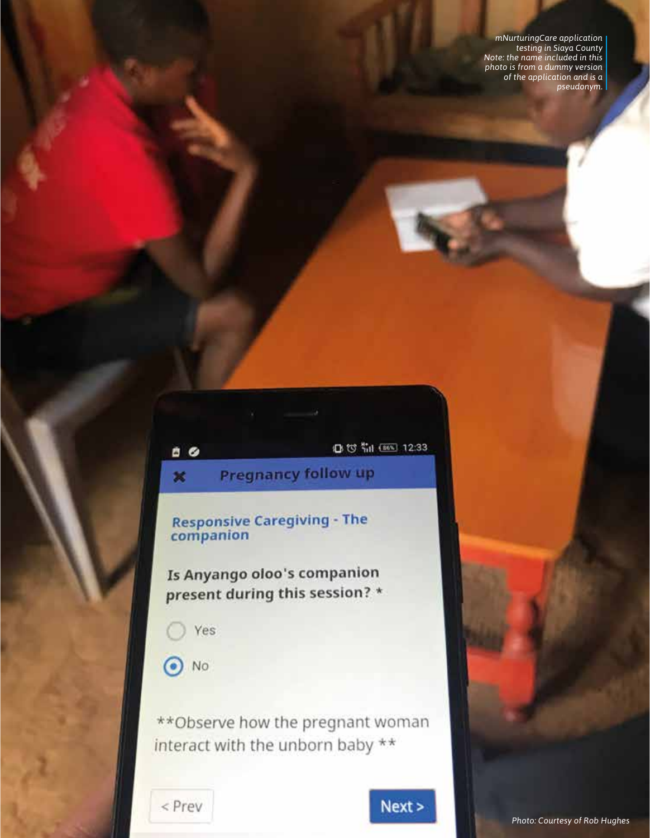mNurturingCare application<br>testing in Siaya County<br>Note: the name included in this photo is from a dummy version<br>of the application and is a pseudonym.

12:33

**Pregnancy follow up** 

**Responsive Caregiving - The** companion

Is Anyango oloo's companion present during this session? \*

Yes

 $B$ 

 $\boldsymbol{\varkappa}$ 

 $\odot$  No

\*\* Observe how the pregnant woman interact with the unborn baby \*\*

< Prev

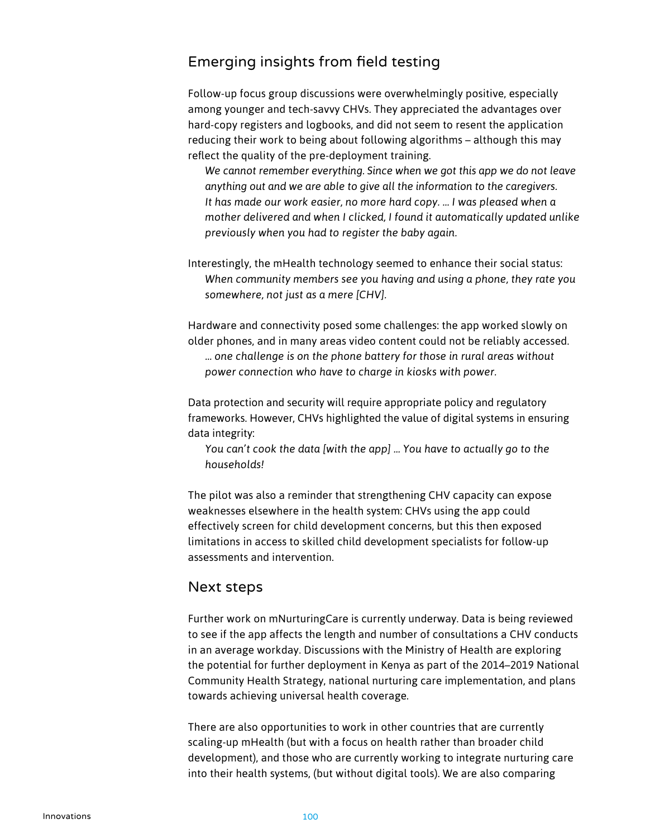### Emerging insights from field testing

Follow-up focus group discussions were overwhelmingly positive, especially among younger and tech-savvy CHVs. They appreciated the advantages over hard-copy registers and logbooks, and did not seem to resent the application reducing their work to being about following algorithms – although this may reflect the quality of the pre-deployment training.

*We cannot remember everything. Since when we got this app we do not leave anything out and we are able to give all the information to the caregivers. It has made our work easier, no more hard copy. … I was pleased when a mother delivered and when I clicked, I found it automatically updated unlike previously when you had to register the baby again.* 

Interestingly, the mHealth technology seemed to enhance their social status: *When community members see you having and using a phone, they rate you somewhere, not just as a mere [CHV].*

Hardware and connectivity posed some challenges: the app worked slowly on older phones, and in many areas video content could not be reliably accessed. *… one challenge is on the phone battery for those in rural areas without power connection who have to charge in kiosks with power.*

Data protection and security will require appropriate policy and regulatory frameworks. However, CHVs highlighted the value of digital systems in ensuring data integrity:

*You can't cook the data [with the app] ... You have to actually go to the households!*

The pilot was also a reminder that strengthening CHV capacity can expose weaknesses elsewhere in the health system: CHVs using the app could effectively screen for child development concerns, but this then exposed limitations in access to skilled child development specialists for follow-up assessments and intervention.

### Next steps

Further work on mNurturingCare is currently underway. Data is being reviewed to see if the app affects the length and number of consultations a CHV conducts in an average workday. Discussions with the Ministry of Health are exploring the potential for further deployment in Kenya as part of the 2014–2019 National Community Health Strategy, national nurturing care implementation, and plans towards achieving universal health coverage.

There are also opportunities to work in other countries that are currently scaling-up mHealth (but with a focus on health rather than broader child development), and those who are currently working to integrate nurturing care into their health systems, (but without digital tools). We are also comparing